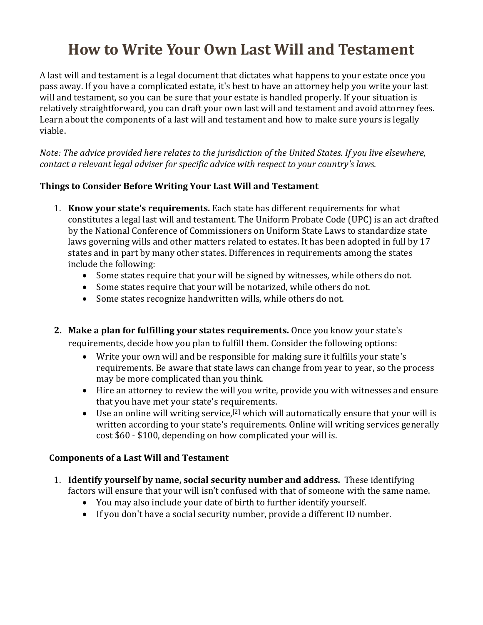# **[How to Write Your Own Last Will and Testament](http://www.wikihow.com/Write-Your-Own-Last-Will-and-Testament)**

A last will and testament is a legal document that dictates what happens to your estate once you pass away. If you have a complicated estate, it's best to have an attorney help you write your last will and testament, so you can be sure that your estate is handled properly. If your situation is relatively straightforward, you can draft your own last will and testament and avoid attorney fees. Learn about the components of a last will and testament and how to make sure yours is legally viable.

*Note: The advice provided here relates to the jurisdiction of the United States. If you live elsewhere, contact a relevant legal adviser for specific advice with respect to your country's laws.*

# **Things to Consider Before Writing Your Last Will and Testament**

- 1. **Know your state's requirements.** Each state has different requirements for what constitutes a legal last will and testament. The Uniform Probate Code (UPC) is an act drafted by the National Conference of Commissioners on Uniform State Laws to standardize state laws governing wills and other matters related to estates. It has been adopted in full by 17 states and in part by many other states. Differences in requirements among the states include the following:
	- Some states require that your will be signed by witnesses, while others do not.
	- Some states require that your will be notarized, while others do not.
	- Some states recognize handwritten wills, while others do not.
- **2. Make a plan for fulfilling your states requirements.** Once you know your state's requirements, decide how you plan to fulfill them. Consider the following options:
	- Write your own will and be responsible for making sure it fulfills your state's requirements. Be aware that state laws can change from year to year, so the process may be more complicated than you think.
	- Hire an attorney to review the will you write, provide you with witnesses and ensure that you have met your state's requirements.
	- Use an online will writing service,<sup>[\[2\]](http://www.wikihow.com/Write-Your-Own-Last-Will-and-Testament#_note-1)</sup> which will automatically ensure that your will is written according to your state's requirements. Online will writing services generally cost \$60 - \$100, depending on how complicated your will is.

# **Components of a Last Will and Testament**

- 1. **Identify yourself by name, social security number and address.** These identifying factors will ensure that your will isn't confused with that of someone with the same name.
	- You may also include your date of birth to further identify yourself.
	- If you don't have a social security number, provide a different ID number.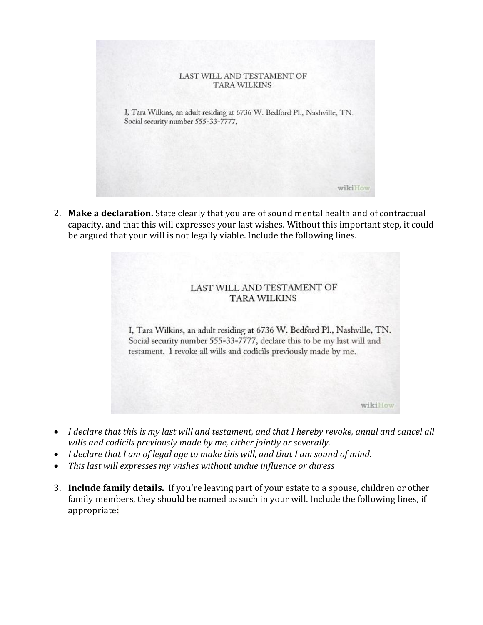

2. **Make a declaration.** State clearly that you are of sound mental health and of contractual capacity, and that this will expresses your last wishes. Without this important step, it could be argued that your will is not legally viable. Include the following lines.

#### LAST WILL AND TESTAMENT OF **TARA WILKINS**

I, Tara Wilkins, an adult residing at 6736 W. Bedford Pl., Nashville, TN. Social security number 555-33-7777, declare this to be my last will and testament. I revoke all wills and codicils previously made by me.

wikiHow

- *I declare that this is my last will and testament, and that I hereby revoke, annul and cancel all wills and codicils previously made by me, either jointly or severally.*
- *I declare that I am of legal age to make this will, and that I am sound of mind.*
- *This last will expresses my wishes without undue influence or duress*
- 3. **Include family details.** If you're leaving part of your estate to a spouse, children or other family members, they should be named as such in your will. Include the following lines, if appropriate: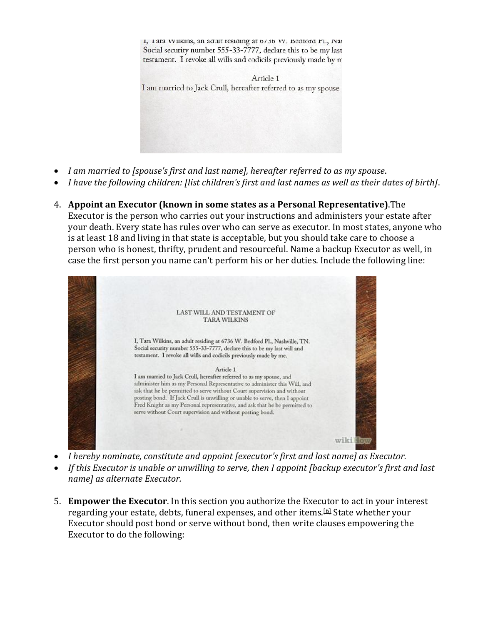1, I ara VV likins, an adult residing at 0/30 VV. Bedford PL, INas Social security number 555-33-7777, declare this to be my last testament. I revoke all wills and codicils previously made by m

Article 1 I am married to Jack Crull, hereafter referred to as my spouse

- *I am married to [spouse's first and last name], hereafter referred to as my spouse*.
- *I have the following children: [list children's first and last names as well as their dates of birth]*.
- 4. **Appoint an Executor (known in some states as a Personal Representative)**.The

Executor is the person who carries out your instructions and administers your estate after your death. Every state has rules over who can serve as executor. In most states, anyone who is at least 18 and living in that state is acceptable, but you should take care to choose a person who is honest, thrifty, prudent and resourceful. Name a backup Executor as well, in case the first person you name can't perform his or her duties. Include the following line:



- *I hereby nominate, constitute and appoint [executor's first and last name] as Executor.*
- *If this Executor is unable or unwilling to serve, then I appoint [backup executor's first and last name] as alternate Executor.*
- 5. **Empower the Executor**. In this section you authorize the Executor to act in your interest regarding your estate, debts, funeral expenses, and other items.[\[6\]](http://www.wikihow.com/Write-Your-Own-Last-Will-and-Testament#_note-5) State whether your Executor should post bond or serve without bond, then write clauses empowering the Executor to do the following: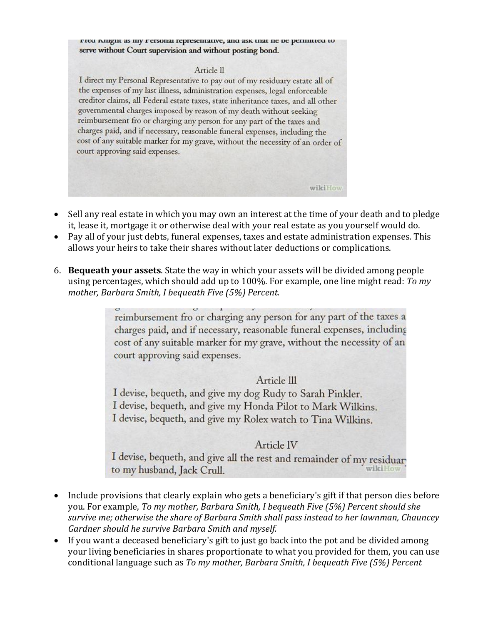FICU NIEGIU as my Fersonal representative, and ask that he be permitted to serve without Court supervision and without posting bond.

#### Article <sub>II</sub>

I direct my Personal Representative to pay out of my residuary estate all of the expenses of my last illness, administration expenses, legal enforceable creditor claims, all Federal estate taxes, state inheritance taxes, and all other governmental charges imposed by reason of my death without seeking reimbursement fro or charging any person for any part of the taxes and charges paid, and if necessary, reasonable funeral expenses, including the cost of any suitable marker for my grave, without the necessity of an order of court approving said expenses.

 Sell any real estate in which you may own an interest at the time of your death and to pledge it, lease it, mortgage it or otherwise deal with your real estate as you yourself would do.

wikiHow

- Pay all of your just debts, funeral expenses, taxes and estate administration expenses. This allows your heirs to take their shares without later deductions or complications.
- 6. **Bequeath your assets**. State the way in which your assets will be divided among people using percentages, which should add up to 100%. For example, one line might read: *To my mother, Barbara Smith, I bequeath Five (5%) Percent.*

reimbursement fro or charging any person for any part of the taxes a charges paid, and if necessary, reasonable funeral expenses, including cost of any suitable marker for my grave, without the necessity of an court approving said expenses.

## Article III

I devise, bequeth, and give my dog Rudy to Sarah Pinkler. I devise, bequeth, and give my Honda Pilot to Mark Wilkins. I devise, bequeth, and give my Rolex watch to Tina Wilkins.

## Article IV

I devise, bequeth, and give all the rest and remainder of my residuar to my husband, Jack Crull.

- Include provisions that clearly explain who gets a beneficiary's gift if that person dies before you. For example, *To my mother, Barbara Smith, I bequeath Five (5%) Percent should she survive me; otherwise the share of Barbara Smith shall pass instead to her lawnman, Chauncey Gardner should he survive Barbara Smith and myself.*
- If you want a deceased beneficiary's gift to just go back into the pot and be divided among your living beneficiaries in shares proportionate to what you provided for them, you can use conditional language such as *To my mother, Barbara Smith, I bequeath Five (5%) Percent*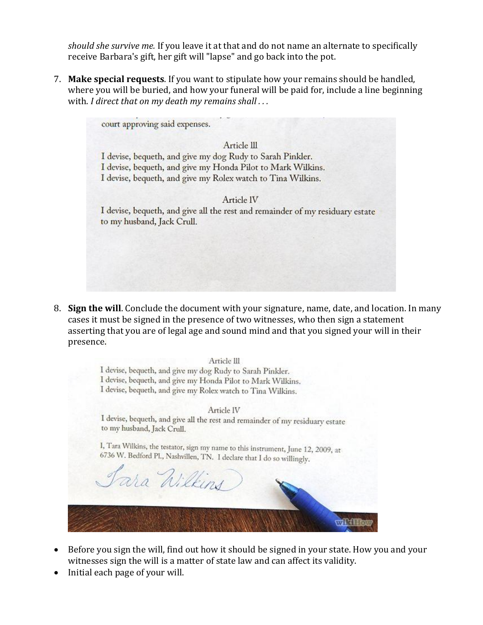*should she survive me.* If you leave it at that and do not name an alternate to specifically receive Barbara's gift, her gift will "lapse" and go back into the pot.

7. **Make special requests**. If you want to stipulate how your remains should be handled, where you will be buried, and how your funeral will be paid for, include a line beginning with. *I direct that on my death my remains shall . . .*

court approving said expenses.

Article III

I devise, bequeth, and give my dog Rudy to Sarah Pinkler. I devise, bequeth, and give my Honda Pilot to Mark Wilkins. I devise, bequeth, and give my Rolex watch to Tina Wilkins.

#### Article IV

I devise, bequeth, and give all the rest and remainder of my residuary estate to my husband, Jack Crull.

8. **Sign the will**. Conclude the document with your signature, name, date, and location. In many cases it must be signed in the presence of two witnesses, who then sign a statement asserting that you are of legal age and sound mind and that you signed your will in their presence.

Article III I devise, bequeth, and give my dog Rudy to Sarah Pinkler. I devise, bequeth, and give my Honda Pilot to Mark Wilkins. I devise, bequeth, and give my Rolex watch to Tina Wilkins. Article IV I devise, bequeth, and give all the rest and remainder of my residuary estate to my husband, Jack Crull. I, Tara Wilkins, the testator, sign my name to this instrument, June 12, 2009, at 6736 W. Bedford Pl., Nashvillen, TN. I declare that I do so willingly. ara Wilkins

 Before you sign the will, find out how it should be signed in your state. How you and your witnesses sign the will is a matter of state law and can affect its validity.

**WINDER** 

• Initial each page of your will.